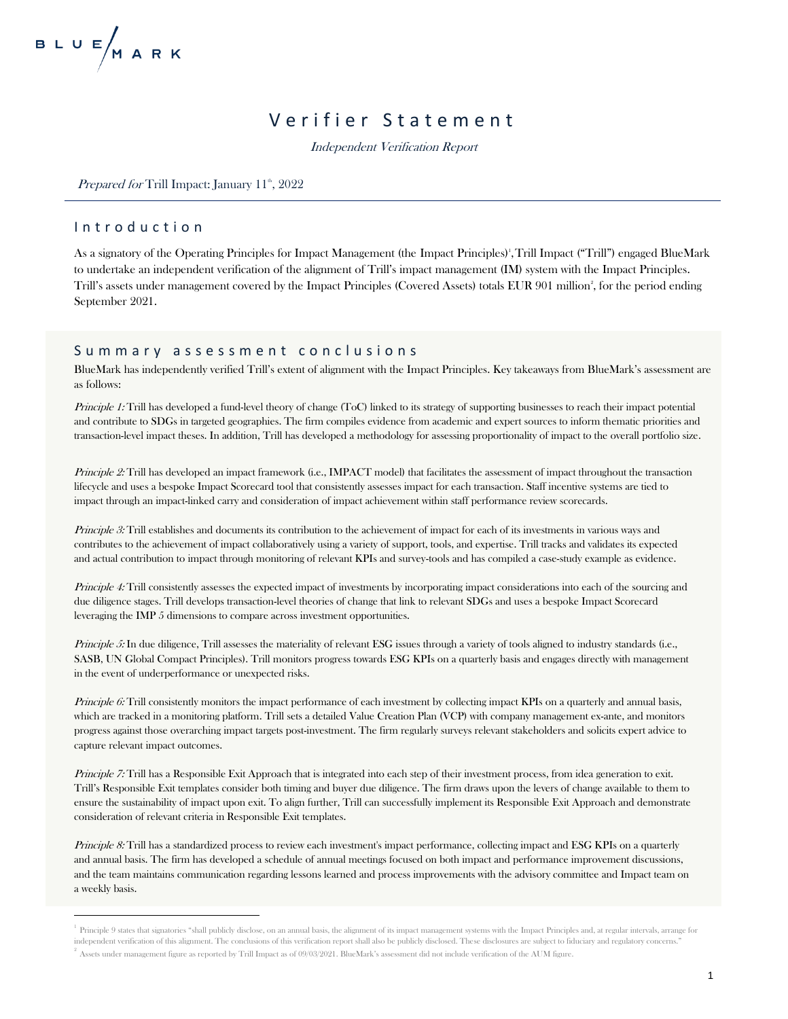## Verifier Statement

Independent Verification Report

*Prepared for* Trill Impact: January  $11^{\text{th}}$ , 2022

## I n t r o d u c t i o n

As a signatory of the Operating Principles for Impact Management (the Impact Principles)<sup>1</sup> ,Trill Impact ("Trill") engaged BlueMark to undertake an independent verification of the alignment of Trill's impact management (IM) system with the Impact Principles. Trill's assets under management covered by the Impact Principles (Covered Assets) totals EUR 901 million<sup>2</sup>, for the period ending September 2021.

#### Summary assessment conclusions

BlueMark has independently verified Trill's extent of alignment with the Impact Principles. Key takeaways from BlueMark's assessment are as follows:

Principle 1: Trill has developed a fund-level theory of change (ToC) linked to its strategy of supporting businesses to reach their impact potential and contribute to SDGs in targeted geographies. The firm compiles evidence from academic and expert sources to inform thematic priorities and transaction-level impact theses. In addition, Trill has developed a methodology for assessing proportionality of impact to the overall portfolio size.

Principle 2: Trill has developed an impact framework (i.e., IMPACT model) that facilitates the assessment of impact throughout the transaction lifecycle and uses a bespoke Impact Scorecard tool that consistently assesses impact for each transaction. Staff incentive systems are tied to impact through an impact-linked carry and consideration of impact achievement within staff performance review scorecards.

Principle 3: Trill establishes and documents its contribution to the achievement of impact for each of its investments in various ways and contributes to the achievement of impact collaboratively using a variety of support, tools, and expertise. Trill tracks and validates its expected and actual contribution to impact through monitoring of relevant KPIs and survey-tools and has compiled a case-study example as evidence.

Principle 4: Trill consistently assesses the expected impact of investments by incorporating impact considerations into each of the sourcing and due diligence stages. Trill develops transaction-level theories of change that link to relevant SDGs and uses a bespoke Impact Scorecard leveraging the IMP 5 dimensions to compare across investment opportunities.

Principle 5: In due diligence, Trill assesses the materiality of relevant ESG issues through a variety of tools aligned to industry standards (i.e., SASB, UN Global Compact Principles). Trill monitors progress towards ESG KPIs on a quarterly basis and engages directly with management in the event of underperformance or unexpected risks.

Principle 6: Trill consistently monitors the impact performance of each investment by collecting impact KPIs on a quarterly and annual basis, which are tracked in a monitoring platform. Trill sets a detailed Value Creation Plan (VCP) with company management ex-ante, and monitors progress against those overarching impact targets post-investment. The firm regularly surveys relevant stakeholders and solicits expert advice to capture relevant impact outcomes.

*Principle 7:* Trill has a Responsible Exit Approach that is integrated into each step of their investment process, from idea generation to exit. Trill's Responsible Exit templates consider both timing and buyer due diligence. The firm draws upon the levers of change available to them to ensure the sustainability of impact upon exit. To align further, Trill can successfully implement its Responsible Exit Approach and demonstrate consideration of relevant criteria in Responsible Exit templates.

Principle 8: Trill has a standardized process to review each investment's impact performance, collecting impact and ESG KPIs on a quarterly and annual basis. The firm has developed a schedule of annual meetings focused on both impact and performance improvement discussions, and the team maintains communication regarding lessons learned and process improvements with the advisory committee and Impact team on a weekly basis.

<sup>&</sup>lt;sup>1</sup> Principle 9 states that signatories "shall publicly disclose, on an annual basis, the alignment of its impact management systems with the Impact Principles and, at regular intervals, arrange for independent verification of this alignment. The conclusions of this verification report shall also be publicly disclosed. These disclosures are subject to fiduciary and regulatory concerns."  $^2$  Assets under management figure as reported by Trill Impact as of 09/03/2021. BlueMark's assessment did not include verification of the AUM figure.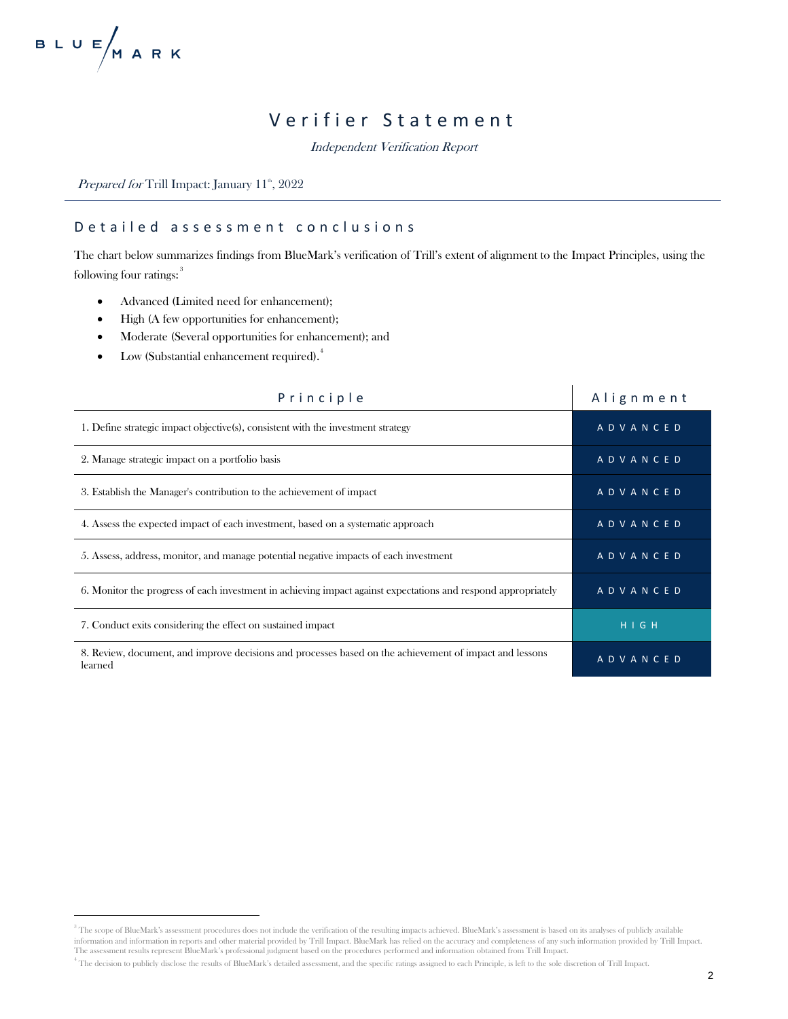# Verifier Statement

Independent Verification Report

Prepared for Trill Impact: January 11<sup>th</sup>, 2022

## D e tailed assessment conclusions

The chart below summarizes findings from BlueMark's verification of Trill's extent of alignment to the Impact Principles, using the following four ratings:<sup>3</sup>

- Advanced (Limited need for enhancement);
- High (A few opportunities for enhancement);
- Moderate (Several opportunities for enhancement); and
- Low (Substantial enhancement required). $^4$

| Principle                                                                                                          | Alignment       |
|--------------------------------------------------------------------------------------------------------------------|-----------------|
| 1. Define strategic impact objective(s), consistent with the investment strategy                                   | <b>ADVANCED</b> |
| 2. Manage strategic impact on a portfolio basis                                                                    | <b>ADVANCED</b> |
| 3. Establish the Manager's contribution to the achievement of impact                                               | <b>ADVANCED</b> |
| 4. Assess the expected impact of each investment, based on a systematic approach                                   | ADVANCED        |
| 5. Assess, address, monitor, and manage potential negative impacts of each investment                              | <b>ADVANCED</b> |
| 6. Monitor the progress of each investment in achieving impact against expectations and respond appropriately      | <b>ADVANCED</b> |
| 7. Conduct exits considering the effect on sustained impact                                                        | H I G H         |
| 8. Review, document, and improve decisions and processes based on the achievement of impact and lessons<br>learned | ADVANCED        |

<sup>&</sup>lt;sup>3</sup> The scope of BlueMark's assessment procedures does not include the verification of the resulting impacts achieved. BlueMark's assessment is based on its analyses of publicly available information and information in reports and other material provided by Trill Impact. BlueMark has relied on the accuracy and completeness of any such information provided by Trill Impact. The assessment results represent BlueMark's professional judgment based on the procedures performed and information obtained from Trill Impact.

<sup>4</sup> The decision to publicly disclose the results of BlueMark's detailed assessment, and the specific ratings assigned to each Principle, is left to the sole discretion of Trill Impact.